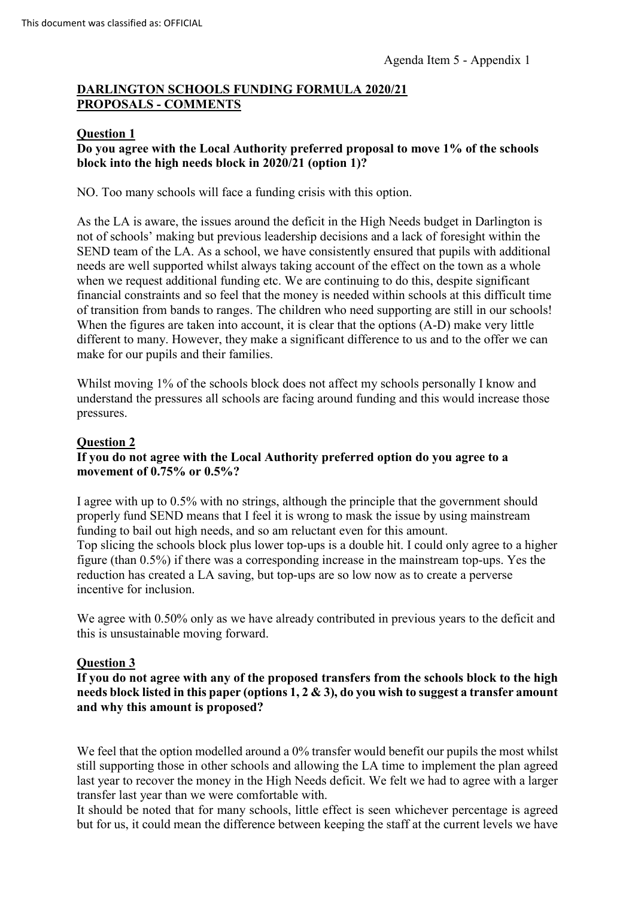# **DARLINGTON SCHOOLS FUNDING FORMULA 2020/21 PROPOSALS - COMMENTS**

### **Question 1**

## **Do you agree with the Local Authority preferred proposal to move 1% of the schools block into the high needs block in 2020/21 (option 1)?**

NO. Too many schools will face a funding crisis with this option.

As the LA is aware, the issues around the deficit in the High Needs budget in Darlington is not of schools' making but previous leadership decisions and a lack of foresight within the SEND team of the LA. As a school, we have consistently ensured that pupils with additional needs are well supported whilst always taking account of the effect on the town as a whole when we request additional funding etc. We are continuing to do this, despite significant financial constraints and so feel that the money is needed within schools at this difficult time of transition from bands to ranges. The children who need supporting are still in our schools! When the figures are taken into account, it is clear that the options (A-D) make very little different to many. However, they make a significant difference to us and to the offer we can make for our pupils and their families.

Whilst moving 1% of the schools block does not affect my schools personally I know and understand the pressures all schools are facing around funding and this would increase those pressures.

## **Question 2**

## **If you do not agree with the Local Authority preferred option do you agree to a movement of 0.75% or 0.5%?**

I agree with up to 0.5% with no strings, although the principle that the government should properly fund SEND means that I feel it is wrong to mask the issue by using mainstream funding to bail out high needs, and so am reluctant even for this amount. Top slicing the schools block plus lower top-ups is a double hit. I could only agree to a higher figure (than 0.5%) if there was a corresponding increase in the mainstream top-ups. Yes the reduction has created a LA saving, but top-ups are so low now as to create a perverse incentive for inclusion.

We agree with 0.50% only as we have already contributed in previous years to the deficit and this is unsustainable moving forward.

## **Question 3**

**If you do not agree with any of the proposed transfers from the schools block to the high needs block listed in this paper (options 1, 2 & 3), do you wish to suggest a transfer amount and why this amount is proposed?**

We feel that the option modelled around a 0% transfer would benefit our pupils the most whilst still supporting those in other schools and allowing the LA time to implement the plan agreed last year to recover the money in the High Needs deficit. We felt we had to agree with a larger transfer last year than we were comfortable with.

It should be noted that for many schools, little effect is seen whichever percentage is agreed but for us, it could mean the difference between keeping the staff at the current levels we have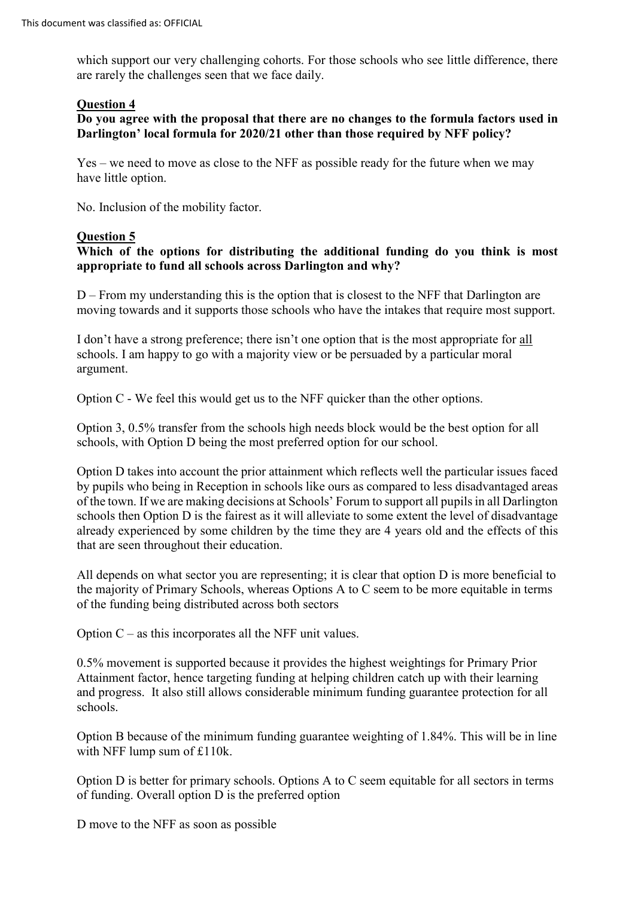which support our very challenging cohorts. For those schools who see little difference, there are rarely the challenges seen that we face daily.

#### **Question 4**

## **Do you agree with the proposal that there are no changes to the formula factors used in Darlington' local formula for 2020/21 other than those required by NFF policy?**

Yes – we need to move as close to the NFF as possible ready for the future when we may have little option.

No. Inclusion of the mobility factor.

## **Question 5**

## **Which of the options for distributing the additional funding do you think is most appropriate to fund all schools across Darlington and why?**

D – From my understanding this is the option that is closest to the NFF that Darlington are moving towards and it supports those schools who have the intakes that require most support.

I don't have a strong preference; there isn't one option that is the most appropriate for all schools. I am happy to go with a majority view or be persuaded by a particular moral argument.

Option C - We feel this would get us to the NFF quicker than the other options.

Option 3, 0.5% transfer from the schools high needs block would be the best option for all schools, with Option D being the most preferred option for our school.

Option D takes into account the prior attainment which reflects well the particular issues faced by pupils who being in Reception in schools like ours as compared to less disadvantaged areas of the town. If we are making decisions at Schools' Forum to support all pupils in all Darlington schools then Option D is the fairest as it will alleviate to some extent the level of disadvantage already experienced by some children by the time they are 4 years old and the effects of this that are seen throughout their education.

All depends on what sector you are representing; it is clear that option D is more beneficial to the majority of Primary Schools, whereas Options A to C seem to be more equitable in terms of the funding being distributed across both sectors

Option C – as this incorporates all the NFF unit values.

0.5% movement is supported because it provides the highest weightings for Primary Prior Attainment factor, hence targeting funding at helping children catch up with their learning and progress. It also still allows considerable minimum funding guarantee protection for all schools.

Option B because of the minimum funding guarantee weighting of 1.84%. This will be in line with NFF lump sum of £110k.

Option D is better for primary schools. Options A to C seem equitable for all sectors in terms of funding. Overall option D is the preferred option

D move to the NFF as soon as possible